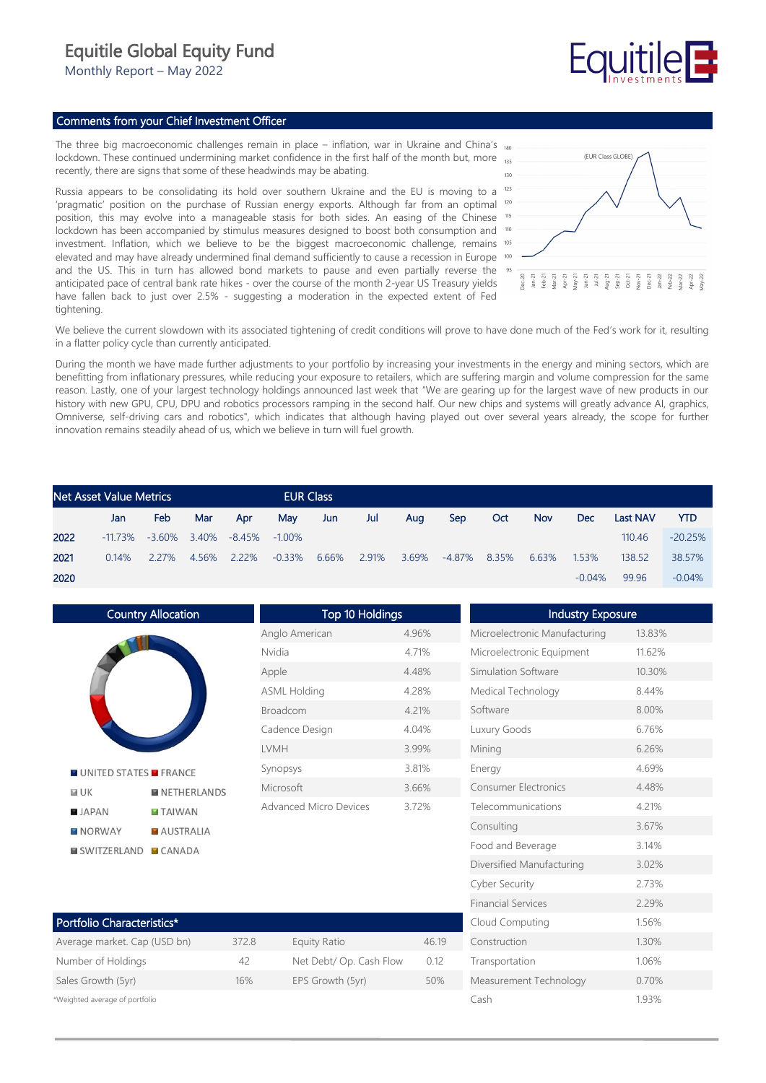## Equitile Global Equity Fund

Monthly Report – May 2022

## Comments from your Chief Investment Officer

The three big macroeconomic challenges remain in place – inflation, war in Ukraine and China's  $_{140}$ lockdown. These continued undermining market confidence in the first half of the month but, more recently, there are signs that some of these headwinds may be abating.

Russia appears to be consolidating its hold over southern Ukraine and the EU is moving to a 'pragmatic' position on the purchase of Russian energy exports. Although far from an optimal <sup>120</sup> position, this may evolve into a manageable stasis for both sides. An easing of the Chinese lockdown has been accompanied by stimulus measures designed to boost both consumption and <sup>10</sup> investment. Inflation, which we believe to be the biggest macroeconomic challenge, remains <sup>105</sup> elevated and may have already undermined final demand sufficiently to cause a recession in Europe and the US. This in turn has allowed bond markets to pause and even partially reverse the anticipated pace of central bank rate hikes - over the course of the month 2-year US Treasury yields have fallen back to just over 2.5% - suggesting a moderation in the expected extent of Fed tightening.



We believe the current slowdown with its associated tightening of credit conditions will prove to have done much of the Fed's work for it, resulting in a flatter policy cycle than currently anticipated.

During the month we have made further adjustments to your portfolio by increasing your investments in the energy and mining sectors, which are benefitting from inflationary pressures, while reducing your exposure to retailers, which are suffering margin and volume compression for the same reason. Lastly, one of your largest technology holdings announced last week that "We are gearing up for the largest wave of new products in our history with new GPU, CPU, DPU and robotics processors ramping in the second half. Our new chips and systems will greatly advance AI, graphics, Omniverse, self-driving cars and robotics", which indicates that although having played out over several years already, the scope for further innovation remains steadily ahead of us, which we believe in turn will fuel growth.

|      | <b>Net Asset Value Metrics</b> |       |                 |        |           | <b>EUR Class</b> |       |       |            |       |            |          |                 |           |
|------|--------------------------------|-------|-----------------|--------|-----------|------------------|-------|-------|------------|-------|------------|----------|-----------------|-----------|
|      | Jan                            | Feb   | Mar             | Apr    | Mav       | Jun.             | Jul   | Aug   | <b>Sep</b> | Oct   | <b>Nov</b> | Dec      | <b>Last NAV</b> | YTD       |
| 2022 | $-11.73\%$                     |       | $-3.60\%$ 3.40% | -8.45% | $-1.00\%$ |                  |       |       |            |       |            |          | 110.46          | $-20.25%$ |
| 2021 | $0.14\%$                       | 2.27% | 4.56%           | 2.22%  | -0.33%    | 6.66%            | 2.91% | 3.69% | $-4.87\%$  | 8.35% | 6.63%      | 1.53%    | 138.52          | 38.57%    |
| 2020 |                                |       |                 |        |           |                  |       |       |            |       |            | $-0.04%$ | 99.96           | $-0.04%$  |

Country Allocation **N** UNITED STATES **N** FRANCE  $M$  UK **NETHERLANDS JAPAN TAIWAN NORWAY AUSTRALIA EI SWITZERLAND FI CANADA** 

| <b>Top 10 Holdings</b> |       |  |  |  |  |  |
|------------------------|-------|--|--|--|--|--|
| Anglo American         | 4.96% |  |  |  |  |  |
| Nvidia                 | 4.71% |  |  |  |  |  |
| Apple                  | 4.48% |  |  |  |  |  |
| <b>ASML Holding</b>    | 428%  |  |  |  |  |  |
| <b>Broadcom</b>        | 4.21% |  |  |  |  |  |
| Cadence Design         | 4.04% |  |  |  |  |  |
| LVMH                   | 3.99% |  |  |  |  |  |
| Synopsys               | 3.81% |  |  |  |  |  |
| Microsoft              | 3.66% |  |  |  |  |  |
| Advanced Micro Devices | 3.72% |  |  |  |  |  |

| Portfolio Characteristics*     |       |                         |       |  |  |  |
|--------------------------------|-------|-------------------------|-------|--|--|--|
| Average market. Cap (USD bn)   | 372.8 | Equity Ratio            | 46.19 |  |  |  |
| Number of Holdings             | 42    | Net Debt/ Op. Cash Flow | 012   |  |  |  |
| Sales Growth (5yr)             | 16%   | EPS Growth (5yr)        | 50%   |  |  |  |
| *Weighted average of portfolio |       |                         |       |  |  |  |

| <b>Industry Exposure</b>      |        |
|-------------------------------|--------|
| Microelectronic Manufacturing | 13.83% |
| Microelectronic Equipment     | 11.62% |
| Simulation Software           | 10.30% |
| Medical Technology            | 844%   |
| Software                      | 8.00%  |
| Luxury Goods                  | 6.76%  |
| Mining                        | 6.26%  |
| Energy                        | 4.69%  |
| <b>Consumer Electronics</b>   | 4.48%  |
| Telecommunications            | 4 21%  |
| Consulting                    | 3.67%  |
| Food and Beverage             | 3.14%  |
| Diversified Manufacturing     | 3.02%  |
| <b>Cyber Security</b>         | 2.73%  |
| <b>Financial Services</b>     | 2.29%  |
| Cloud Computing               | 1.56%  |
| Construction                  | 1.30%  |
| Transportation                | 1.06%  |
| Measurement Technology        | 0.70%  |
| Cash                          | 1.93%  |